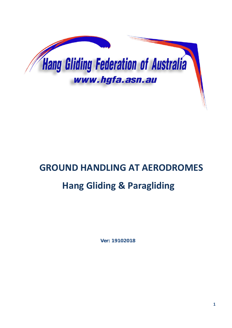

# **GROUND HANDLING AT AERODROMES**

# **Hang Gliding & Paragliding**

**Ver: 19102018**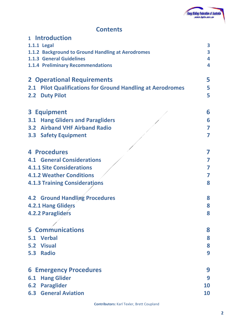

## **Contents**

| 1 Introduction                                                       |           |
|----------------------------------------------------------------------|-----------|
| <b>1.1.1 Legal</b>                                                   | 3         |
| 1.1.2 Background to Ground Handling at Aerodromes                    | 3         |
| <b>1.1.3 General Guidelines</b>                                      | 4         |
| <b>1.1.4 Preliminary Recommendations</b>                             | 4         |
| <b>2 Operational Requirements</b>                                    | 5         |
| <b>Pilot Qualifications for Ground Handling at Aerodromes</b><br>2.1 | 5         |
| <b>Duty Pilot</b><br>2.2                                             | 5         |
| 3 Equipment                                                          | 6         |
| <b>3.1 Hang Gliders and Paragliders</b>                              | 6         |
| <b>3.2 Airband VHF Airband Radio</b>                                 | 7         |
| <b>3.3 Safety Equipment</b>                                          | 7         |
| <b>4 Procedures</b>                                                  | 7         |
| <b>4.1 General Considerations</b>                                    | 7         |
| <b>4.1.1 Site Considerations</b>                                     | 7         |
| <b>4.1.2 Weather Conditions</b>                                      | 7         |
| <b>4.1.3 Training Considerations</b>                                 | 8         |
| <b>4.2 Ground Handling Procedures</b>                                | 8         |
| <b>4.2.1 Hang Gliders</b>                                            | 8         |
| <b>4.2.2 Paragliders</b>                                             | 8         |
|                                                                      |           |
| <b>5 Communications</b>                                              | 8         |
| 5.1 Verbal                                                           | 8         |
| 5.2 Visual                                                           | 8         |
| <b>Radio</b><br>5.3                                                  | 9         |
| <b>6 Emergency Procedures</b>                                        | 9         |
| <b>Hang Glider</b><br>6.1                                            | 9         |
| <b>Paraglider</b><br>6.2                                             | 10        |
| <b>6.3 General Aviation</b>                                          | <b>10</b> |
|                                                                      |           |

**Contributors:** Karl Texler, Brett Coupland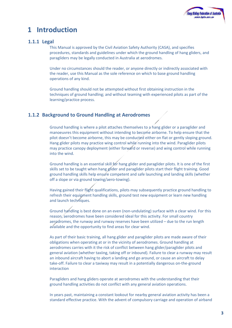

# **1 Introduction**

#### **1.1.1 Legal**

This Manual is approved by the Civil Aviation Safety Authority (CASA), and specifies procedures, standards and guidelines under which the ground handling of hang gliders, and paragliders may be legally conducted in Australia at aerodromes.

Under no circumstances should the reader, or anyone directly or indirectly associated with the reader, use this Manual as the sole reference on which to base ground handling operations of any kind.

Ground handling should not be attempted without first obtaining instruction in the techniques of ground handling; and without teaming with experienced pilots as part of the learning/practice process.

#### **1.1.2 Background to Ground Handling at Aerodromes**

Ground handling is where a pilot attaches themselves to a hang glider or a paraglider and manoeuvres this equipment without intending to become airborne. To help ensure that the pilot doesn't become airborne, this may be conducted either on flat or gently sloping ground. Hang glider pilots may practice wing control while running into the wind. Paraglider pilots may practice canopy deployment (either forward or reverse) and wing control while running into the wind.

Ground handling is an essential skill for hang glider and paraglider pilots. It is one of the first skills set to be taught when hang glider and paraglider pilots start their flight training. Good ground handling skills help ensure competent and safe launching and landing skills (whether off a slope or via ground towing/aero-towing).

Having gained their flight qualifications, pilots may subsequently practice ground handling to refresh their equipment handling skills, ground test new equipment or learn new handling and launch techniques.

Ground handling is best done on an even (non-undulating) surface with a clear wind. For this reason, aerodromes have been considered ideal for this activity. For small country aerodromes, the runway and runway reserves have been utilized – due to the run length available and the opportunity to find areas for clear wind.

As part of their basic training, all hang glider and paraglider pilots are made aware of their obligations when operating at or in the vicinity of aerodromes. Ground handling at aerodromes carries with it the risk of conflict between hang glider/paraglider pilots and general aviation (whether taxiing, taking off or inbound). Failure to clear a runway may result an inbound aircraft having to abort a landing and go around, or cause an aircraft to delay take-off. Failure to clear a taxiway may result in a potentially dangerous on-the-ground interaction

Paragliders and hang gliders operate at aerodromes with the understanding that their ground handling activities do not conflict with any general aviation operations.

In years past, maintaining a constant lookout for nearby general aviation activity has been a standard effective practice. With the advent of compulsory carriage and operation of airband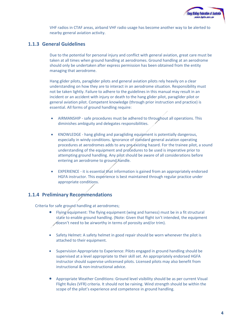

VHF radios in CTAF areas, airband VHF radio usage has become another way to be alerted to nearby general aviation activity.

#### **1.1.3 General Guidelines**

Due to the potential for personal injury and conflict with general aviation, great care must be taken at all times when ground handling at aerodromes. Ground handling at an aerodrome should only be undertaken after express permission has been obtained from the entity managing that aerodrome.

Hang glider pilots, paraglider pilots and general aviation pilots rely heavily on a clear understanding on how they are to interact in an aerodrome situation. Responsibility must not be taken lightly. Failure to adhere to the guidelines in this manual may result in an incident or an accident with injury or death to the hang glider pilot, paraglider pilot or general aviation pilot. Competent knowledge (through prior instruction and practice) is essential. All forms of ground handling require:

- AIRMANSHIP safe procedures must be adhered to throughout all operations. This diminishes ambiguity and delegates responsibilities.
- KNOWLEDGE hang gliding and paragliding equipment is potentially dangerous, especially in windy conditions. Ignorance of standard general aviation operating procedures at aerodromes adds to any pre-existing hazard. For the trainee pilot, a sound understanding of the equipment and procedures to be used is imperative prior to attempting ground handling. Any pilot should be aware of all considerations before entering an aerodrome to ground handle.
- EXPERIENCE it is essential that information is gained from an appropriately endorsed HGFA instructor. This experience is best maintained through regular practice under appropriate conditions.

#### **1.1.4 Preliminary Recommendations**

Criteria for safe ground handling at aerodromes;

- Flying equipment: The flying equipment (wing and harness) must be in a fit structural state to enable ground handling. (Note: Given that flight isn't intended, the equipment Aboesn't need to be airworthy in terms of porosity and/or trim).
- Safety Helmet: A safety helmet in good repair should be worn whenever the pilot is attached to their equipment.
- Supervision Appropriate to Experience: Pilots engaged in ground handling should be supervised at a level appropriate to their skill set. An appropriately endorsed HGFA instructor should supervise unlicensed pilots. Licensed pilots may also benefit from instructional & non-instructional advice.
- Appropriate Weather Conditions: Ground level visibility should be as per current Visual Flight Rules (VFR) criteria. It should not be raining. Wind strength should be within the scope of the pilot's experience and competence in ground handling.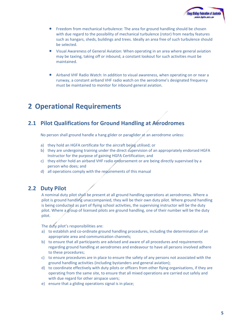

- Freedom from mechanical turbulence: The area for ground handling should be chosen with due regard to the possibility of mechanical turbulence (rotor) from nearby features such as hangars, sheds, buildings and trees. Ideally an area free of such turbulence should be selected.
- Visual Awareness of General Aviation: When operating in an area where general aviation may be taxiing, taking off or inbound, a constant lookout for such activities must be maintained.
- Airband VHF Radio Watch: In addition to visual awareness, when operating on or near a runway, a constant airband VHF radio watch on the aerodrome's designated frequency must be maintained to monitor for inbound general aviation.

# **2 Operational Requirements**

## **2.1 Pilot Qualifications for Ground Handling at Aerodromes**

No person shall ground handle a hang glider or paraglider at an aerodrome unless:

- a) they hold an HGFA certificate for the aircraft being utilised; or
- b) they are undergoing training under the direct supervision of an appropriately endorsed HGFA Instructor for the purpose of gaining HGFA Certification; and
- c) they either hold an airband VHF radio endorsement or are being directly supervised by a person who does; and
- d) all operations comply with the requirements of this manual

#### **2.2 Duty Pilot**

A nominal duty pilot shall be present at all ground handling operations at aerodromes. Where a pilot is ground handling unaccompanied, they will be their own duty pilot. Where ground handling is being conducted as part of flying school activities, the supervising instructor will be the duty pilot. Where a group of licensed pilots are ground handling, one of their number will be the duty pilot.

The duty pilot's responsibilities are:

- a) to establish and co-ordinate ground handling procedures, including the determination of an appropriate area and communication channels;
- b) to ensure that all participants are advised and aware of all procedures and requirements regarding ground handling at aerodromes and endeavour to have all persons involved adhere to these procedures;
- c) to ensure procedures are in place to ensure the safety of any persons not associated with the ground handling activities (including bystanders and general aviation);
- d) to coordinate effectively with duty pilots or officers from other flying organisations, if they are operating from the same site, to ensure that all mixed operations are carried out safely and with due regard for other airspace users;
- e) ensure that a gliding operations signal is in place;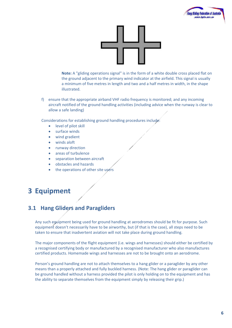



**Note:** A "gliding operations signal" is in the form of a white double cross placed flat on the ground adjacent to the primary wind indicator at the airfield. This signal is usually a minimum of five metres in length and two and a half metres in width, in the shape illustrated.

f) ensure that the appropriate airband VHF radio frequency is monitored; and any incoming aircraft notified of the ground handling activities (including advice when the runway is clear to allow a safe landing)

Considerations for establishing ground handling procedures include:

- level of pilot skill
- surface winds
- wind gradient
- winds aloft
- runway direction
- areas of turbulence
- separation between aircraft
- obstacles and hazards
- the operations of other site users

# **3 Equipment**

## **3.1 Hang Gliders and Paragliders**

Any such equipment being used for ground handling at aerodromes should be fit for purpose. Such equipment doesn't necessarily have to be airworthy, but (if that is the case), all steps need to be taken to ensure that inadvertent aviation will not take place during ground handling.

The major components of the flight equipment (i.e. wings and harnesses) should either be certified by a recognised certifying body or manufactured by a recognised manufacturer who also manufactures certified products. Homemade wings and harnesses are not to be brought onto an aerodrome.

Person's ground handling are not to attach themselves to a hang glider or a paraglider by any other means than a properly attached and fully buckled harness. (Note: The hang glider or paraglider can be ground handled without a harness provided the pilot is only holding on to the equipment and has the ability to separate themselves from the equipment simply by releasing their grip.)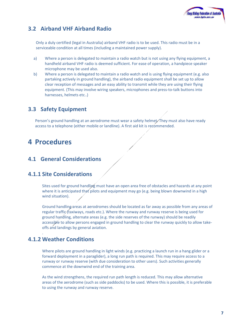

## **3.2 Airband VHF Airband Radio**

Only a duly certified (legal in Australia) airband VHF radio is to be used. This radio must be in a serviceable condition at all times (including a maintained power supply).

- a) Where a person is delegated to maintain a radio watch but is not using any flying equipment, a handheld airband VHF radio is deemed sufficient. For ease of operation, a handpiece speaker microphone may be used also.
- b) Where a person is delegated to maintain a radio watch and is using flying equipment (e.g. also partaking actively in ground handling), the airband radio equipment shall be set up to allow clear reception of messages and an easy ability to transmit while they are using their flying equipment. (This may involve wiring speakers, microphones and press-to-talk buttons into harnesses, helmets etc..)

## **3.3 Safety Equipment**

Person's ground handling at an aerodrome must wear a safety helmet. They must also have ready access to a telephone (either mobile or landline). A first aid kit is recommended.

# **4 Procedures**

### **4.1 General Considerations**

### **4.1.1 Site Considerations**

Sites used for ground handling must have an open area free of obstacles and hazards at any point where it is anticipated that pilots and equipment may go (e.g. being blown downwind in a high wind situation).

Ground handling areas at aerodromes should be located as far away as possible from any areas of regular traffic (taxiways, roads etc.). Where the runway and runway reserve is being used for ground handling, alternate areas (e.g. the side reserves of the runway) should be readily accessible to allow persons engaged in ground handling to clear the runway quickly to allow takeoffs and landings by general aviation.

## **4.1.2 Weather Conditions**

.

Where pilots are ground handling in light winds (e.g. practicing a launch run in a hang glider or a forward deployment in a paraglider), a long run path is required. This may require access to a runway or runway reserve (with due consideration to other users). Such activities generally commence at the downwind end of the training area.

As the wind strengthens, the required run path length is reduced. This may allow alternative areas of the aerodrome (such as side paddocks) to be used. Where this is possible, it is preferable to using the runway and runway reserve.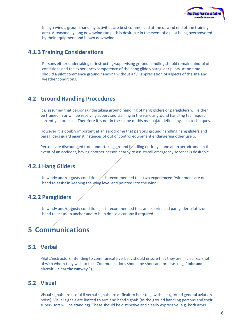

In high winds, ground handling activities are best commenced at the upwind end of the training area. A reasonably long downwind run path is desirable in the event of a pilot being overpowered by their equipment and blown downwind.

#### **4.1.3 Training Considerations**

Persons either undertaking or instructing/supervising ground handling should remain mindful of conditions and the experience/competence of the hang glider/paraglider pilots. At no time should a pilot commence ground handling without a full appreciation of aspects of the site and weather conditions.

#### **4.2 Ground Handling Procedures**

It is assumed that persons undertaking ground handling of hang gliders or paragliders will either be trained in or will be receiving supervised training in the various ground handling techniques currently in practice. Therefore it is not in the scope of this manual to define any such techniques.

However it is doubly important at an aerodrome that persons ground handling hang gliders and paragliders guard against instances of out of control equipment endangering other users.

Persons are discouraged from undertaking ground bandling entirely alone at an aerodrome. In the event of an accident, having another person nearby to assist/call emergency services is desirable.

#### **4.2.1 Hang Gliders**

In windy and/or gusty conditions, it is recommended that two experienced "wire men" are on hand to assist in keeping the wing level and pointed into the wind.

#### **4.2.2 Paragliders**

In windy and/or gusty conditions, it is recommended that an experienced paraglider pilot is on hand to act as an anchor and to help douse a canopy if required.

# **5 Communications**

### **5.1 Verbal**

Pilots/instructors intending to communicate verbally should ensure that they are in clear earshot of with whom they wish to talk. Communications should be short and precise. (e.g. "**Inbound aircraft – clear the runway.**")

#### **5.2 Visual**

Visual signals are useful if verbal signals are difficult to hear (e.g. with background general aviation noise). Visual signals are limited to arm and hand signals (as the ground handling persons and their supervisors will be standing). These should be distinctive and clearly expressive (e.g. both arms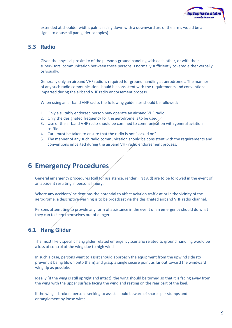

extended at shoulder width, palms facing down with a downward arc of the arms would be a signal to douse all paraglider canopies).

#### **5.3 Radio**

Given the physical proximity of the person's ground handling with each other, or with their supervisors, communication between these persons is normally sufficiently covered either verbally or visually.

Generally only an airband VHF radio is required for ground handling at aerodromes. The manner of any such radio communication should be consistent with the requirements and conventions imparted during the airband VHF radio endorsement process.

When using an airband VHF radio, the following guidelines should be followed:

- 1. Only a suitably endorsed person may operate an airband VHF radio.
- 2. Only the designated frequency for the aerodrome is to be used.
- 3. Use of the airband VHF radio should be confined to communication with general aviation traffic.
- 4. Care must be taken to ensure that the radio is not "locked on".
- 5. The manner of any such radio communication should be consistent with the requirements and conventions imparted during the airband VHF radio endorsement process.

# **6 Emergency Procedures**

General emergency procedures (call for assistance, render First Aid) are to be followed in the event of an accident resulting in personal injury.

Where any accident/incident has the potential to affect aviation traffic at or in the vicinity of the aerodrome, a descriptive warning is to be broadcast via the designated airband VHF radio channel.

Persons attempting to provide any form of assistance in the event of an emergency should do what they can to keep themselves out of danger.

## **6.1 Hang Glider**

The most likely specific hang glider related emergency scenario related to ground handling would be a loss of control of the wing due to high winds.

In such a case, persons want to assist should approach the equipment from the upwind side (to prevent it being blown onto them) and grasp a single secure point as far out toward the windward wing tip as possible.

Ideally (if the wing is still upright and intact), the wing should be turned so that it is facing away from the wing with the upper surface facing the wind and resting on the rear part of the keel.

If the wing is broken, persons seeking to assist should beware of sharp spar stumps and entanglement by loose wires.